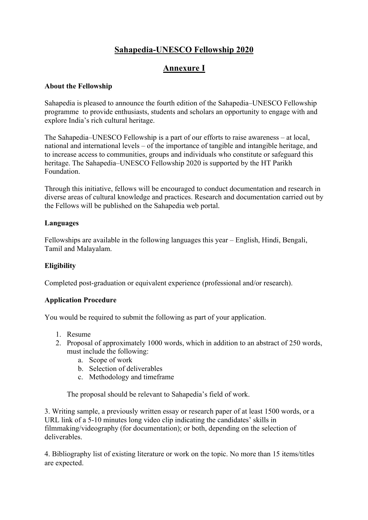# **Sahapedia-UNESCO Fellowship 2020**

# **Annexure I**

### **About the Fellowship**

Sahapedia is pleased to announce the fourth edition of the Sahapedia–UNESCO Fellowship programme to provide enthusiasts, students and scholars an opportunity to engage with and explore India's rich cultural heritage.

The Sahapedia–UNESCO Fellowship is a part of our efforts to raise awareness – at local, national and international levels – of the importance of tangible and intangible heritage, and to increase access to communities, groups and individuals who constitute or safeguard this heritage. The Sahapedia–UNESCO Fellowship 2020 is supported by the HT Parikh Foundation.

Through this initiative, fellows will be encouraged to conduct documentation and research in diverse areas of cultural knowledge and practices. Research and documentation carried out by the Fellows will be published on the Sahapedia web portal.

### **Languages**

Fellowships are available in the following languages this year – English, Hindi, Bengali, Tamil and Malayalam.

### **Eligibility**

Completed post-graduation or equivalent experience (professional and/or research).

#### **Application Procedure**

You would be required to submit the following as part of your application.

- 1. Resume
- 2. Proposal of approximately 1000 words, which in addition to an abstract of 250 words, must include the following:
	- a. Scope of work
	- b. Selection of deliverables
	- c. Methodology and timeframe

The proposal should be relevant to Sahapedia's field of work.

3. Writing sample, a previously written essay or research paper of at least 1500 words, or a URL link of a 5-10 minutes long video clip indicating the candidates' skills in filmmaking/videography (for documentation); or both, depending on the selection of deliverables.

4. Bibliography list of existing literature or work on the topic. No more than 15 items/titles are expected.